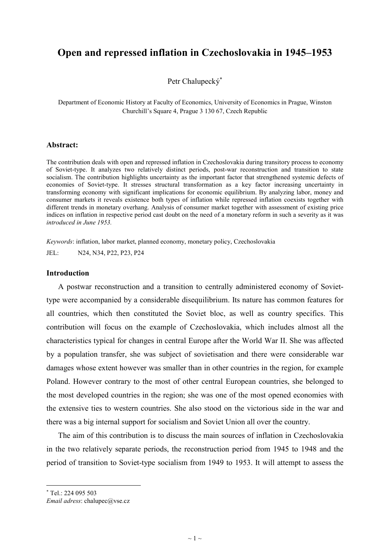# **Open and repressed inflation in Czechoslovakia in 1945–1953**

Petr Chalupecký<sup>∗</sup>

Department of Economic History at Faculty of Economics, University of Economics in Prague, Winston Churchill's Square 4, Prague 3 130 67, Czech Republic

#### **Abstract:**

The contribution deals with open and repressed inflation in Czechoslovakia during transitory process to economy of Soviet-type. It analyzes two relatively distinct periods, post-war reconstruction and transition to state socialism. The contribution highlights uncertainty as the important factor that strengthened systemic defects of economies of Soviet-type. It stresses structural transformation as a key factor increasing uncertainty in transforming economy with significant implications for economic equilibrium. By analyzing labor, money and consumer markets it reveals existence both types of inflation while repressed inflation coexists together with different trends in monetary overhang. Analysis of consumer market together with assessment of existing price indices on inflation in respective period cast doubt on the need of a monetary reform in such a severity as it was *introduced in June 1953.* 

*Keywords*: inflation, labor market, planned economy, monetary policy, Czechoslovakia JEL: N24, N34, P22, P23, P24

### **Introduction**

A postwar reconstruction and a transition to centrally administered economy of Soviettype were accompanied by a considerable disequilibrium. Its nature has common features for all countries, which then constituted the Soviet bloc, as well as country specifics. This contribution will focus on the example of Czechoslovakia, which includes almost all the characteristics typical for changes in central Europe after the World War II. She was affected by a population transfer, she was subject of sovietisation and there were considerable war damages whose extent however was smaller than in other countries in the region, for example Poland. However contrary to the most of other central European countries, she belonged to the most developed countries in the region; she was one of the most opened economies with the extensive ties to western countries. She also stood on the victorious side in the war and there was a big internal support for socialism and Soviet Union all over the country.

The aim of this contribution is to discuss the main sources of inflation in Czechoslovakia in the two relatively separate periods, the reconstruction period from 1945 to 1948 and the period of transition to Soviet-type socialism from 1949 to 1953. It will attempt to assess the

<sup>∗</sup> Tel.: 224 095 503

*Email adress*: chalupec@vse.cz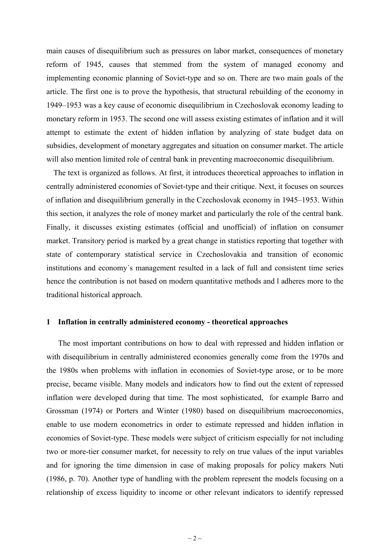main causes of disequilibrium such as pressures on labor market, consequences of monetary reform of 1945, causes that stemmed from the system of managed economy and implementing economic planning of Soviet-type and so on. There are two main goals of the article. The first one is to prove the hypothesis, that structural rebuilding of the economy in 1949–1953 was a key cause of economic disequilibrium in Czechoslovak economy leading to monetary reform in 1953. The second one will assess existing estimates of inflation and it will attempt to estimate the extent of hidden inflation by analyzing of state budget data on subsidies, development of monetary aggregates and situation on consumer market. The article will also mention limited role of central bank in preventing macroeconomic disequilibrium.

The text is organized as follows. At first, it introduces theoretical approaches to inflation in centrally administered economies of Soviet-type and their critique. Next, it focuses on sources of inflation and disequilibrium generally in the Czechoslovak economy in 1945–1953. Within this section, it analyzes the role of money market and particularly the role of the central bank. Finally, it discusses existing estimates (official and unofficial) of inflation on consumer market. Transitory period is marked by a great change in statistics reporting that together with state of contemporary statistical service in Czechoslovakia and transition of economic institutions and economy´s management resulted in a lack of full and consistent time series hence the contribution is not based on modern quantitative methods and l adheres more to the traditional historical approach.

#### **1 Inflation in centrally administered economy - theoretical approaches**

The most important contributions on how to deal with repressed and hidden inflation or with disequilibrium in centrally administered economies generally come from the 1970s and the 1980s when problems with inflation in economies of Soviet-type arose, or to be more precise, became visible. Many models and indicators how to find out the extent of repressed inflation were developed during that time. The most sophisticated, for example Barro and Grossman (1974) or Porters and Winter (1980) based on disequilibrium macroeconomics, enable to use modern econometrics in order to estimate repressed and hidden inflation in economies of Soviet-type. These models were subject of criticism especially for not including two or more-tier consumer market, for necessity to rely on true values of the input variables and for ignoring the time dimension in case of making proposals for policy makers Nuti (1986, p. 70). Another type of handling with the problem represent the models focusing on a relationship of excess liquidity to income or other relevant indicators to identify repressed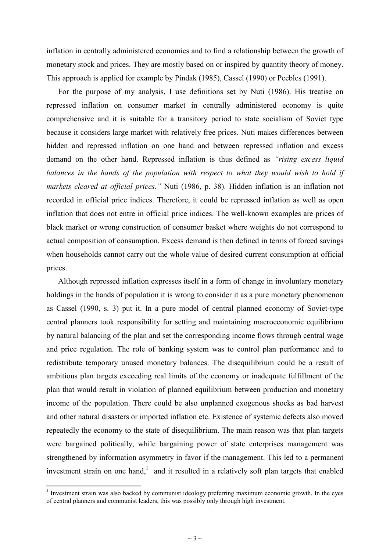inflation in centrally administered economies and to find a relationship between the growth of monetary stock and prices. They are mostly based on or inspired by quantity theory of money. This approach is applied for example by Pindak (1985), Cassel (1990) or Peebles (1991).

For the purpose of my analysis, I use definitions set by Nuti (1986). His treatise on repressed inflation on consumer market in centrally administered economy is quite comprehensive and it is suitable for a transitory period to state socialism of Soviet type because it considers large market with relatively free prices. Nuti makes differences between hidden and repressed inflation on one hand and between repressed inflation and excess demand on the other hand. Repressed inflation is thus defined as *"rising excess liquid balances in the hands of the population with respect to what they would wish to hold if markets cleared at official prices."* Nuti (1986, p. 38). Hidden inflation is an inflation not recorded in official price indices. Therefore, it could be repressed inflation as well as open inflation that does not entre in official price indices. The well-known examples are prices of black market or wrong construction of consumer basket where weights do not correspond to actual composition of consumption. Excess demand is then defined in terms of forced savings when households cannot carry out the whole value of desired current consumption at official prices.

Although repressed inflation expresses itself in a form of change in involuntary monetary holdings in the hands of population it is wrong to consider it as a pure monetary phenomenon as Cassel (1990, s. 3) put it. In a pure model of central planned economy of Soviet-type central planners took responsibility for setting and maintaining macroeconomic equilibrium by natural balancing of the plan and set the corresponding income flows through central wage and price regulation. The role of banking system was to control plan performance and to redistribute temporary unused monetary balances. The disequilibrium could be a result of ambitious plan targets exceeding real limits of the economy or inadequate fulfillment of the plan that would result in violation of planned equilibrium between production and monetary income of the population. There could be also unplanned exogenous shocks as bad harvest and other natural disasters or imported inflation etc. Existence of systemic defects also moved repeatedly the economy to the state of disequilibrium. The main reason was that plan targets were bargained politically, while bargaining power of state enterprises management was strengthened by information asymmetry in favor if the management. This led to a permanent investment strain on one hand, $<sup>1</sup>$  and it resulted in a relatively soft plan targets that enabled</sup>

<sup>&</sup>lt;sup>1</sup> Investment strain was also backed by communist ideology preferring maximum economic growth. In the eyes of central planners and communist leaders, this was possibly only through high investment.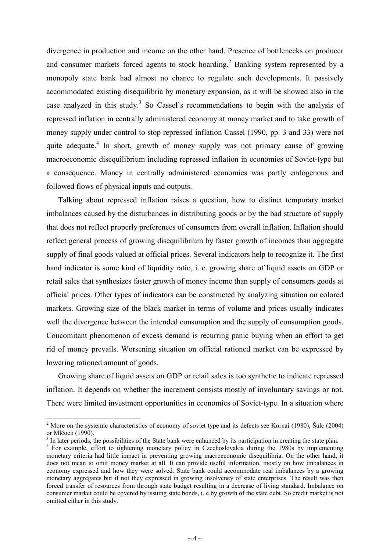divergence in production and income on the other hand. Presence of bottlenecks on producer and consumer markets forced agents to stock hoarding.<sup>2</sup> Banking system represented by a monopoly state bank had almost no chance to regulate such developments. It passively accommodated existing disequilibria by monetary expansion, as it will be showed also in the case analyzed in this study.<sup>3</sup> So Cassel's recommendations to begin with the analysis of repressed inflation in centrally administered economy at money market and to take growth of money supply under control to stop repressed inflation Cassel (1990, pp. 3 and 33) were not quite adequate.<sup>4</sup> In short, growth of money supply was not primary cause of growing macroeconomic disequilibrium including repressed inflation in economies of Soviet-type but a consequence. Money in centrally administered economies was partly endogenous and followed flows of physical inputs and outputs.

Talking about repressed inflation raises a question, how to distinct temporary market imbalances caused by the disturbances in distributing goods or by the bad structure of supply that does not reflect properly preferences of consumers from overall inflation. Inflation should reflect general process of growing disequilibrium by faster growth of incomes than aggregate supply of final goods valued at official prices. Several indicators help to recognize it. The first hand indicator is some kind of liquidity ratio, i. e. growing share of liquid assets on GDP or retail sales that synthesizes faster growth of money income than supply of consumers goods at official prices. Other types of indicators can be constructed by analyzing situation on colored markets. Growing size of the black market in terms of volume and prices usually indicates well the divergence between the intended consumption and the supply of consumption goods. Concomitant phenomenon of excess demand is recurring panic buying when an effort to get rid of money prevails. Worsening situation on official rationed market can be expressed by lowering rationed amount of goods.

Growing share of liquid assets on GDP or retail sales is too synthetic to indicate repressed inflation. It depends on whether the increment consists mostly of involuntary savings or not. There were limited investment opportunities in economies of Soviet-type. In a situation where

<sup>&</sup>lt;sup>2</sup> More on the systemic characteristics of economy of soviet type and its defects see Kornai (1980), Šulc (2004) or Mlčoch (1990).

<sup>3</sup> In later periods, the possibilities of the State bank were enhanced by its participation in creating the state plan.

<sup>&</sup>lt;sup>4</sup> For example, effort to tightening monetary policy in Czechoslovakia during the 1980s by implementing monetary criteria had little impact in preventing growing macroeconomic disequilibria. On the other hand, it does not mean to omit money market at all. It can provide useful information, mostly on how imbalances in economy expressed and how they were solved. State bank could accommodate real imbalances by a growing monetary aggregates but if not they expressed in growing insolvency of state enterprises. The result was then forced transfer of resources from through state budget resulting in a decrease of living standard. Imbalance on consumer market could be covered by issuing state bonds, i. e by growth of the state debt. So credit market is not omitted either in this study.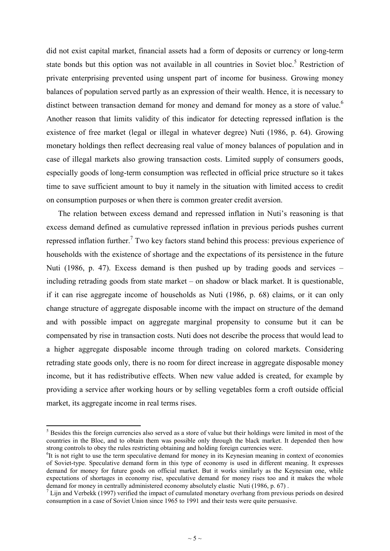did not exist capital market, financial assets had a form of deposits or currency or long-term state bonds but this option was not available in all countries in Soviet bloc.<sup>5</sup> Restriction of private enterprising prevented using unspent part of income for business. Growing money balances of population served partly as an expression of their wealth. Hence, it is necessary to distinct between transaction demand for money and demand for money as a store of value.<sup>6</sup> Another reason that limits validity of this indicator for detecting repressed inflation is the existence of free market (legal or illegal in whatever degree) Nuti (1986, p. 64). Growing monetary holdings then reflect decreasing real value of money balances of population and in case of illegal markets also growing transaction costs. Limited supply of consumers goods, especially goods of long-term consumption was reflected in official price structure so it takes time to save sufficient amount to buy it namely in the situation with limited access to credit on consumption purposes or when there is common greater credit aversion.

The relation between excess demand and repressed inflation in Nuti's reasoning is that excess demand defined as cumulative repressed inflation in previous periods pushes current repressed inflation further.<sup>7</sup> Two key factors stand behind this process: previous experience of households with the existence of shortage and the expectations of its persistence in the future Nuti (1986, p. 47). Excess demand is then pushed up by trading goods and services – including retrading goods from state market – on shadow or black market. It is questionable, if it can rise aggregate income of households as Nuti (1986, p. 68) claims, or it can only change structure of aggregate disposable income with the impact on structure of the demand and with possible impact on aggregate marginal propensity to consume but it can be compensated by rise in transaction costs. Nuti does not describe the process that would lead to a higher aggregate disposable income through trading on colored markets. Considering retrading state goods only, there is no room for direct increase in aggregate disposable money income, but it has redistributive effects. When new value added is created, for example by providing a service after working hours or by selling vegetables form a croft outside official market, its aggregate income in real terms rises.

<sup>&</sup>lt;sup>5</sup> Besides this the foreign currencies also served as a store of value but their holdings were limited in most of the countries in the Bloc, and to obtain them was possible only through the black market. It depended then how strong controls to obey the rules restricting obtaining and holding foreign currencies were.

<sup>&</sup>lt;sup>6</sup>It is not right to use the term speculative demand for money in its Keynesian meaning in context of economies of Soviet-type. Speculative demand form in this type of economy is used in different meaning. It expresses demand for money for future goods on official market. But it works similarly as the Keynesian one, while expectations of shortages in economy rise, speculative demand for money rises too and it makes the whole demand for money in centrally administered economy absolutely elastic Nuti (1986, p. 67) .

 $<sup>7</sup>$  Lijn and Verbekk (1997) verified the impact of cumulated monetary overhang from previous periods on desired</sup> consumption in a case of Soviet Union since 1965 to 1991 and their tests were quite persuasive.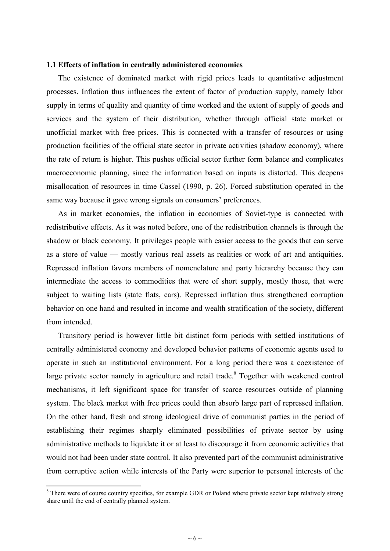### **1.1 Effects of inflation in centrally administered economies**

The existence of dominated market with rigid prices leads to quantitative adjustment processes. Inflation thus influences the extent of factor of production supply, namely labor supply in terms of quality and quantity of time worked and the extent of supply of goods and services and the system of their distribution, whether through official state market or unofficial market with free prices. This is connected with a transfer of resources or using production facilities of the official state sector in private activities (shadow economy), where the rate of return is higher. This pushes official sector further form balance and complicates macroeconomic planning, since the information based on inputs is distorted. This deepens misallocation of resources in time Cassel (1990, p. 26). Forced substitution operated in the same way because it gave wrong signals on consumers' preferences.

As in market economies, the inflation in economies of Soviet-type is connected with redistributive effects. As it was noted before, one of the redistribution channels is through the shadow or black economy. It privileges people with easier access to the goods that can serve as a store of value — mostly various real assets as realities or work of art and antiquities. Repressed inflation favors members of nomenclature and party hierarchy because they can intermediate the access to commodities that were of short supply, mostly those, that were subject to waiting lists (state flats, cars). Repressed inflation thus strengthened corruption behavior on one hand and resulted in income and wealth stratification of the society, different from intended.

Transitory period is however little bit distinct form periods with settled institutions of centrally administered economy and developed behavior patterns of economic agents used to operate in such an institutional environment. For a long period there was a coexistence of large private sector namely in agriculture and retail trade.<sup>8</sup> Together with weakened control mechanisms, it left significant space for transfer of scarce resources outside of planning system. The black market with free prices could then absorb large part of repressed inflation. On the other hand, fresh and strong ideological drive of communist parties in the period of establishing their regimes sharply eliminated possibilities of private sector by using administrative methods to liquidate it or at least to discourage it from economic activities that would not had been under state control. It also prevented part of the communist administrative from corruptive action while interests of the Party were superior to personal interests of the

<sup>&</sup>lt;sup>8</sup> There were of course country specifics, for example GDR or Poland where private sector kept relatively strong share until the end of centrally planned system.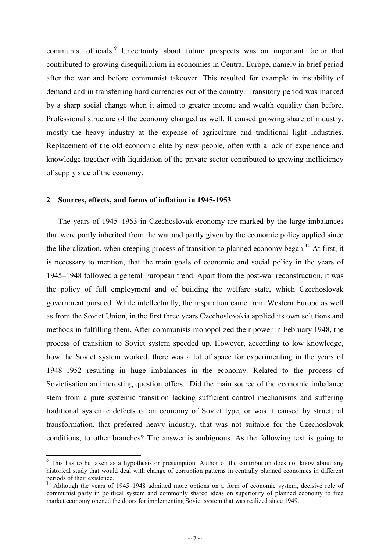communist officials.<sup>9</sup> Uncertainty about future prospects was an important factor that contributed to growing disequilibrium in economies in Central Europe, namely in brief period after the war and before communist takeover. This resulted for example in instability of demand and in transferring hard currencies out of the country. Transitory period was marked by a sharp social change when it aimed to greater income and wealth equality than before. Professional structure of the economy changed as well. It caused growing share of industry, mostly the heavy industry at the expense of agriculture and traditional light industries. Replacement of the old economic elite by new people, often with a lack of experience and knowledge together with liquidation of the private sector contributed to growing inefficiency of supply side of the economy.

#### **2 Sources, effects, and forms of inflation in 1945-1953**

<u>.</u>

The years of 1945–1953 in Czechoslovak economy are marked by the large imbalances that were partly inherited from the war and partly given by the economic policy applied since the liberalization, when creeping process of transition to planned economy began.<sup>10</sup> At first, it is necessary to mention, that the main goals of economic and social policy in the years of 1945–1948 followed a general European trend. Apart from the post-war reconstruction, it was the policy of full employment and of building the welfare state, which Czechoslovak government pursued. While intellectually, the inspiration came from Western Europe as well as from the Soviet Union, in the first three years Czechoslovakia applied its own solutions and methods in fulfilling them. After communists monopolized their power in February 1948, the process of transition to Soviet system speeded up. However, according to low knowledge, how the Soviet system worked, there was a lot of space for experimenting in the years of 1948–1952 resulting in huge imbalances in the economy. Related to the process of Sovietisation an interesting question offers. Did the main source of the economic imbalance stem from a pure systemic transition lacking sufficient control mechanisms and suffering traditional systemic defects of an economy of Soviet type, or was it caused by structural transformation, that preferred heavy industry, that was not suitable for the Czechoslovak conditions, to other branches? The answer is ambiguous. As the following text is going to

<sup>&</sup>lt;sup>9</sup> This has to be taken as a hypothesis or presumption. Author of the contribution does not know about any historical study that would deal with change of corruption patterns in centrally planned economies in different periods of their existence.

Although the years of 1945–1948 admitted more options on a form of economic system, decisive role of communist party in political system and commonly shared ideas on superiority of planned economy to free market economy opened the doors for implementing Soviet system that was realized since 1949.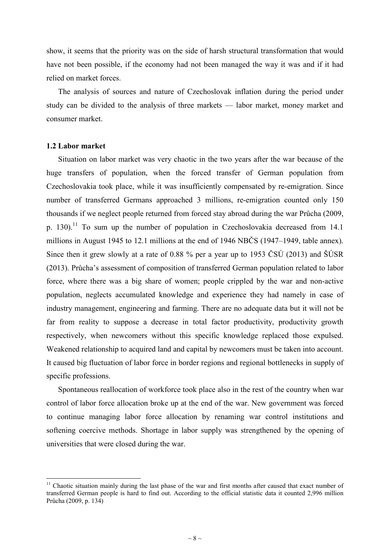show, it seems that the priority was on the side of harsh structural transformation that would have not been possible, if the economy had not been managed the way it was and if it had relied on market forces.

The analysis of sources and nature of Czechoslovak inflation during the period under study can be divided to the analysis of three markets — labor market, money market and consumer market.

### **1.2 Labor market**

<u>.</u>

Situation on labor market was very chaotic in the two years after the war because of the huge transfers of population, when the forced transfer of German population from Czechoslovakia took place, while it was insufficiently compensated by re-emigration. Since number of transferred Germans approached 3 millions, re-emigration counted only 150 thousands if we neglect people returned from forced stay abroad during the war Průcha (2009, p. 130).<sup>11</sup> To sum up the number of population in Czechoslovakia decreased from 14.1 millions in August 1945 to 12.1 millions at the end of 1946 NBČS (1947–1949, table annex). Since then it grew slowly at a rate of 0.88 % per a year up to 1953 ČSÚ (2013) and ŠÚSR (2013). Průcha's assessment of composition of transferred German population related to labor force, where there was a big share of women; people crippled by the war and non-active population, neglects accumulated knowledge and experience they had namely in case of industry management, engineering and farming. There are no adequate data but it will not be far from reality to suppose a decrease in total factor productivity, productivity growth respectively, when newcomers without this specific knowledge replaced those expulsed. Weakened relationship to acquired land and capital by newcomers must be taken into account. It caused big fluctuation of labor force in border regions and regional bottlenecks in supply of specific professions.

Spontaneous reallocation of workforce took place also in the rest of the country when war control of labor force allocation broke up at the end of the war. New government was forced to continue managing labor force allocation by renaming war control institutions and softening coercive methods. Shortage in labor supply was strengthened by the opening of universities that were closed during the war.

<sup>&</sup>lt;sup>11</sup> Chaotic situation mainly during the last phase of the war and first months after caused that exact number of transferred German people is hard to find out. According to the official statistic data it counted 2,996 million Průcha (2009, p. 134)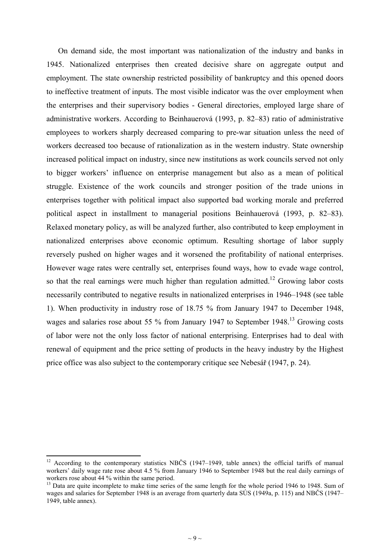On demand side, the most important was nationalization of the industry and banks in 1945. Nationalized enterprises then created decisive share on aggregate output and employment. The state ownership restricted possibility of bankruptcy and this opened doors to ineffective treatment of inputs. The most visible indicator was the over employment when the enterprises and their supervisory bodies - General directories, employed large share of administrative workers. According to Beinhauerová (1993, p. 82–83) ratio of administrative employees to workers sharply decreased comparing to pre-war situation unless the need of workers decreased too because of rationalization as in the western industry. State ownership increased political impact on industry, since new institutions as work councils served not only to bigger workers' influence on enterprise management but also as a mean of political struggle. Existence of the work councils and stronger position of the trade unions in enterprises together with political impact also supported bad working morale and preferred political aspect in installment to managerial positions Beinhauerová (1993, p. 82–83). Relaxed monetary policy, as will be analyzed further, also contributed to keep employment in nationalized enterprises above economic optimum. Resulting shortage of labor supply reversely pushed on higher wages and it worsened the profitability of national enterprises. However wage rates were centrally set, enterprises found ways, how to evade wage control, so that the real earnings were much higher than regulation admitted.<sup>12</sup> Growing labor costs necessarily contributed to negative results in nationalized enterprises in 1946–1948 (see table 1). When productivity in industry rose of 18.75 % from January 1947 to December 1948, wages and salaries rose about 55 % from January 1947 to September 1948.<sup>13</sup> Growing costs of labor were not the only loss factor of national enterprising. Enterprises had to deal with renewal of equipment and the price setting of products in the heavy industry by the Highest price office was also subject to the contemporary critique see Nebesář (1947, p. 24).

<u>.</u>

<sup>&</sup>lt;sup>12</sup> According to the contemporary statistics NBČS (1947–1949, table annex) the official tariffs of manual workers' daily wage rate rose about 4.5 % from January 1946 to September 1948 but the real daily earnings of workers rose about 44 % within the same period.

<sup>&</sup>lt;sup>13</sup> Data are quite incomplete to make time series of the same length for the whole period 1946 to 1948. Sum of wages and salaries for September 1948 is an average from quarterly data SÚS (1949a, p. 115) and NBČS (1947– 1949, table annex).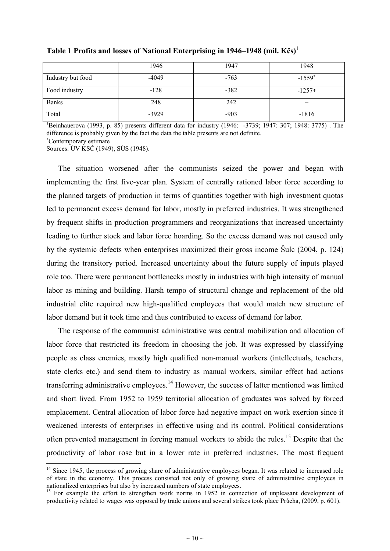|                   | 1946    | 1947   | 1948     |
|-------------------|---------|--------|----------|
| Industry but food | $-4049$ | $-763$ | $-1559*$ |
| Food industry     | $-128$  | $-382$ | $-1257*$ |
| <b>Banks</b>      | 248     | 242    |          |
| Total             | $-3929$ | $-903$ | $-1816$  |

**Table 1 Profits and losses of National Enterprising in 1946–1948 (mil. Kčs)**<sup>1</sup>

<sup>1</sup>Beinhauerova (1993, p. 85) presents different data for industry (1946: -3739; 1947: 307; 1948: 3775). The difference is probably given by the fact the data the table presents are not definite.

<sup>∗</sup>Contemporary estimate

<u>.</u>

Sources: ÚV KSČ (1949), SÚS (1948).

The situation worsened after the communists seized the power and began with implementing the first five-year plan. System of centrally rationed labor force according to the planned targets of production in terms of quantities together with high investment quotas led to permanent excess demand for labor, mostly in preferred industries. It was strengthened by frequent shifts in production programmers and reorganizations that increased uncertainty leading to further stock and labor force hoarding. So the excess demand was not caused only by the systemic defects when enterprises maximized their gross income Šulc (2004, p. 124) during the transitory period. Increased uncertainty about the future supply of inputs played role too. There were permanent bottlenecks mostly in industries with high intensity of manual labor as mining and building. Harsh tempo of structural change and replacement of the old industrial elite required new high-qualified employees that would match new structure of labor demand but it took time and thus contributed to excess of demand for labor.

The response of the communist administrative was central mobilization and allocation of labor force that restricted its freedom in choosing the job. It was expressed by classifying people as class enemies, mostly high qualified non-manual workers (intellectuals, teachers, state clerks etc.) and send them to industry as manual workers, similar effect had actions transferring administrative employees.<sup>14</sup> However, the success of latter mentioned was limited and short lived. From 1952 to 1959 territorial allocation of graduates was solved by forced emplacement. Central allocation of labor force had negative impact on work exertion since it weakened interests of enterprises in effective using and its control. Political considerations often prevented management in forcing manual workers to abide the rules.<sup>15</sup> Despite that the productivity of labor rose but in a lower rate in preferred industries. The most frequent

<sup>&</sup>lt;sup>14</sup> Since 1945, the process of growing share of administrative employees began. It was related to increased role of state in the economy. This process consisted not only of growing share of administrative employees in nationalized enterprises but also by increased numbers of state employees.

<sup>&</sup>lt;sup>15</sup> For example the effort to strengthen work norms in 1952 in connection of unpleasant development of productivity related to wages was opposed by trade unions and several strikes took place Průcha, (2009, p. 601).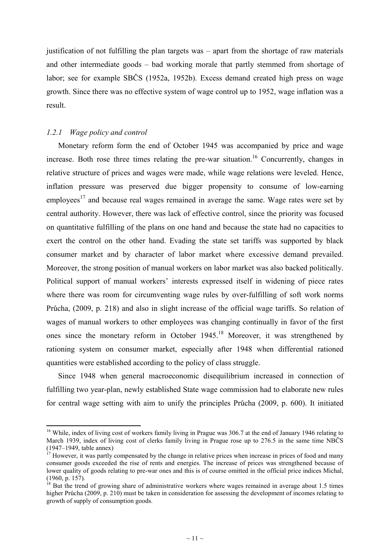justification of not fulfilling the plan targets was – apart from the shortage of raw materials and other intermediate goods – bad working morale that partly stemmed from shortage of labor; see for example SBČS (1952a, 1952b). Excess demand created high press on wage growth. Since there was no effective system of wage control up to 1952, wage inflation was a result.

# *1.2.1 Wage policy and control*

-

Monetary reform form the end of October 1945 was accompanied by price and wage increase. Both rose three times relating the pre-war situation.<sup>16</sup> Concurrently, changes in relative structure of prices and wages were made, while wage relations were leveled. Hence, inflation pressure was preserved due bigger propensity to consume of low-earning employees<sup>17</sup> and because real wages remained in average the same. Wage rates were set by central authority. However, there was lack of effective control, since the priority was focused on quantitative fulfilling of the plans on one hand and because the state had no capacities to exert the control on the other hand. Evading the state set tariffs was supported by black consumer market and by character of labor market where excessive demand prevailed. Moreover, the strong position of manual workers on labor market was also backed politically. Political support of manual workers' interests expressed itself in widening of piece rates where there was room for circumventing wage rules by over-fulfilling of soft work norms Průcha, (2009, p. 218) and also in slight increase of the official wage tariffs. So relation of wages of manual workers to other employees was changing continually in favor of the first ones since the monetary reform in October 1945.<sup>18</sup> Moreover, it was strengthened by rationing system on consumer market, especially after 1948 when differential rationed quantities were established according to the policy of class struggle.

Since 1948 when general macroeconomic disequilibrium increased in connection of fulfilling two year-plan, newly established State wage commission had to elaborate new rules for central wage setting with aim to unify the principles Průcha (2009, p. 600). It initiated

<sup>&</sup>lt;sup>16</sup> While, index of living cost of workers family living in Prague was 306.7 at the end of January 1946 relating to March 1939, index of living cost of clerks family living in Prague rose up to 276.5 in the same time NBČS (1947–1949, table annex)

<sup>&</sup>lt;sup>17</sup> However, it was partly compensated by the change in relative prices when increase in prices of food and many consumer goods exceeded the rise of rents and energies. The increase of prices was strengthened because of lower quality of goods relating to pre-war ones and this is of course omitted in the official price indices Michal, (1960, p. 157).

 $\frac{18}{18}$  But the trend of growing share of administrative workers where wages remained in average about 1.5 times higher Průcha (2009, p. 210) must be taken in consideration for assessing the development of incomes relating to growth of supply of consumption goods.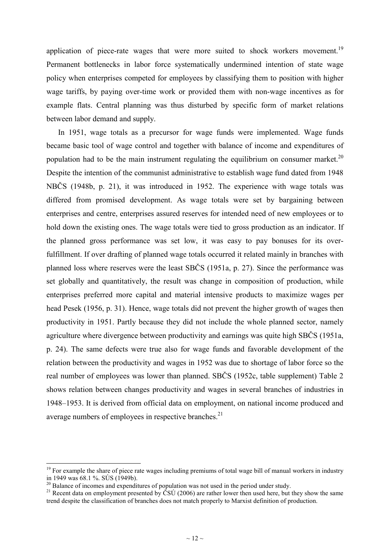application of piece-rate wages that were more suited to shock workers movement.<sup>19</sup> Permanent bottlenecks in labor force systematically undermined intention of state wage policy when enterprises competed for employees by classifying them to position with higher wage tariffs, by paying over-time work or provided them with non-wage incentives as for example flats. Central planning was thus disturbed by specific form of market relations between labor demand and supply.

In 1951, wage totals as a precursor for wage funds were implemented. Wage funds became basic tool of wage control and together with balance of income and expenditures of population had to be the main instrument regulating the equilibrium on consumer market.<sup>20</sup> Despite the intention of the communist administrative to establish wage fund dated from 1948 NBČS (1948b, p. 21), it was introduced in 1952. The experience with wage totals was differed from promised development. As wage totals were set by bargaining between enterprises and centre, enterprises assured reserves for intended need of new employees or to hold down the existing ones. The wage totals were tied to gross production as an indicator. If the planned gross performance was set low, it was easy to pay bonuses for its overfulfillment. If over drafting of planned wage totals occurred it related mainly in branches with planned loss where reserves were the least SBČS (1951a, p. 27). Since the performance was set globally and quantitatively, the result was change in composition of production, while enterprises preferred more capital and material intensive products to maximize wages per head Pesek (1956, p. 31). Hence, wage totals did not prevent the higher growth of wages then productivity in 1951. Partly because they did not include the whole planned sector, namely agriculture where divergence between productivity and earnings was quite high SBČS (1951a, p. 24). The same defects were true also for wage funds and favorable development of the relation between the productivity and wages in 1952 was due to shortage of labor force so the real number of employees was lower than planned. SBČS (1952c, table supplement) Table 2 shows relation between changes productivity and wages in several branches of industries in 1948–1953. It is derived from official data on employment, on national income produced and average numbers of employees in respective branches.<sup>21</sup>

<u>.</u>

<sup>&</sup>lt;sup>19</sup> For example the share of piece rate wages including premiums of total wage bill of manual workers in industry in 1949 was 68.1 %. SÚS (1949b).

<sup>&</sup>lt;sup>20</sup> Balance of incomes and expenditures of population was not used in the period under study.

<sup>&</sup>lt;sup>21</sup> Recent data on employment presented by  $\check{C}S\check{U}$  (2006) are rather lower then used here, but they show the same trend despite the classification of branches does not match properly to Marxist definition of production.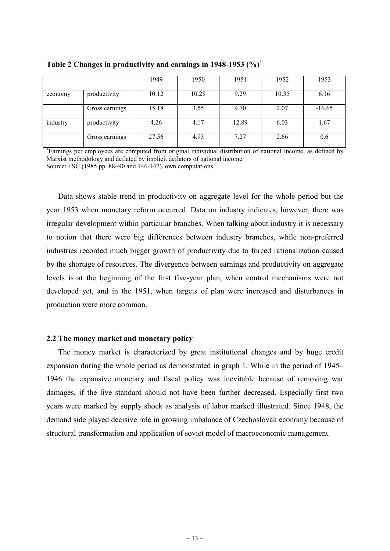|          |                | 1949  | 1950  | 1951  | 1952  | 1953     |
|----------|----------------|-------|-------|-------|-------|----------|
| economy  | productivity   | 10.12 | 10.28 | 9.29  | 10.35 | 6.16     |
|          | Gross earnings | 15.18 | 3.55  | 9.70  | 2.07  | $-16.65$ |
| industry | productivity   | 4.26  | 4.17  | 12.89 | 6.03  | 1.67     |
|          | Gross earnings | 27.56 | 4.93  | 7.27  | 2.66  | 0.6      |

**Table 2 Changes in productivity and earnings in 1948-1953 (%)**<sup>1</sup>

<sup>1</sup>Earnings per employees are computed from original individual distribution of national income, as defined by Marxist methodology and deflated by implicit deflators of national income. Source: FSÚ (1985 pp. 88–90 and 146-147), own computations.

Data shows stable trend in productivity on aggregate level for the whole period but the year 1953 when monetary reform occurred. Data on industry indicates, however, there was irregular development within particular branches. When talking about industry it is necessary to notion that there were big differences between industry branches, while non-preferred industries recorded much bigger growth of productivity due to forced rationalization caused by the shortage of resources. The divergence between earnings and productivity on aggregate levels is at the beginning of the first five-year plan, when control mechanisms were not developed yet, and in the 1951, when targets of plan were increased and disturbances in production were more common.

### **2.2 The money market and monetary policy**

The money market is characterized by great institutional changes and by huge credit expansion during the whole period as demonstrated in graph 1. While in the period of 1945– 1946 the expansive monetary and fiscal policy was inevitable because of removing war damages, if the live standard should not have been further decreased. Especially first two years were marked by supply shock as analysis of labor marked illustrated. Since 1948, the demand side played decisive role in growing imbalance of Czechoslovak economy because of structural transformation and application of soviet model of macroeconomic management.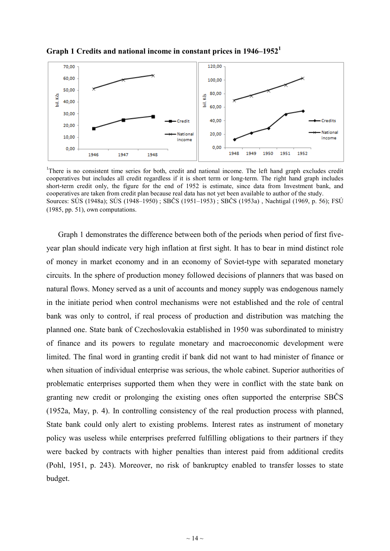

**Graph 1 Credits and national income in constant prices in 1946–1952<sup>1</sup>**

<sup>1</sup>There is no consistent time series for both, credit and national income. The left hand graph excludes credit cooperatives but includes all credit regardless if it is short term or long-term. The right hand graph includes short-term credit only, the figure for the end of 1952 is estimate, since data from Investment bank, and cooperatives are taken from credit plan because real data has not yet been available to author of the study. Sources: SÚS (1948a); SÚS (1948–1950) ; SBČS (1951–1953) ; SBČS (1953a) , Nachtigal (1969, p. 56); FSÚ (1985, pp. 51), own computations.

Graph 1 demonstrates the difference between both of the periods when period of first fiveyear plan should indicate very high inflation at first sight. It has to bear in mind distinct role of money in market economy and in an economy of Soviet-type with separated monetary circuits. In the sphere of production money followed decisions of planners that was based on natural flows. Money served as a unit of accounts and money supply was endogenous namely in the initiate period when control mechanisms were not established and the role of central bank was only to control, if real process of production and distribution was matching the planned one. State bank of Czechoslovakia established in 1950 was subordinated to ministry of finance and its powers to regulate monetary and macroeconomic development were limited. The final word in granting credit if bank did not want to had minister of finance or when situation of individual enterprise was serious, the whole cabinet. Superior authorities of problematic enterprises supported them when they were in conflict with the state bank on granting new credit or prolonging the existing ones often supported the enterprise SBČS (1952a, May, p. 4). In controlling consistency of the real production process with planned, State bank could only alert to existing problems. Interest rates as instrument of monetary policy was useless while enterprises preferred fulfilling obligations to their partners if they were backed by contracts with higher penalties than interest paid from additional credits (Pohl, 1951, p. 243). Moreover, no risk of bankruptcy enabled to transfer losses to state budget.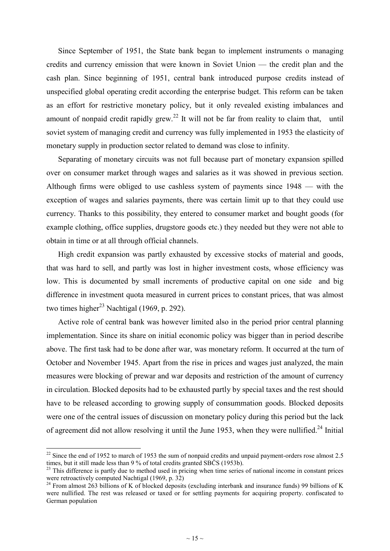Since September of 1951, the State bank began to implement instruments o managing credits and currency emission that were known in Soviet Union — the credit plan and the cash plan. Since beginning of 1951, central bank introduced purpose credits instead of unspecified global operating credit according the enterprise budget. This reform can be taken as an effort for restrictive monetary policy, but it only revealed existing imbalances and amount of nonpaid credit rapidly grew.<sup>22</sup> It will not be far from reality to claim that, until soviet system of managing credit and currency was fully implemented in 1953 the elasticity of monetary supply in production sector related to demand was close to infinity.

Separating of monetary circuits was not full because part of monetary expansion spilled over on consumer market through wages and salaries as it was showed in previous section. Although firms were obliged to use cashless system of payments since 1948 — with the exception of wages and salaries payments, there was certain limit up to that they could use currency. Thanks to this possibility, they entered to consumer market and bought goods (for example clothing, office supplies, drugstore goods etc.) they needed but they were not able to obtain in time or at all through official channels.

High credit expansion was partly exhausted by excessive stocks of material and goods, that was hard to sell, and partly was lost in higher investment costs, whose efficiency was low. This is documented by small increments of productive capital on one side and big difference in investment quota measured in current prices to constant prices, that was almost two times higher<sup>23</sup> Nachtigal (1969, p. 292).

Active role of central bank was however limited also in the period prior central planning implementation. Since its share on initial economic policy was bigger than in period describe above. The first task had to be done after war, was monetary reform. It occurred at the turn of October and November 1945. Apart from the rise in prices and wages just analyzed, the main measures were blocking of prewar and war deposits and restriction of the amount of currency in circulation. Blocked deposits had to be exhausted partly by special taxes and the rest should have to be released according to growing supply of consummation goods. Blocked deposits were one of the central issues of discussion on monetary policy during this period but the lack of agreement did not allow resolving it until the June 1953, when they were nullified.<sup>24</sup> Initial

 $\overline{\phantom{a}}$ 

 $22$  Since the end of 1952 to march of 1953 the sum of nonpaid credits and unpaid payment-orders rose almost 2.5 times, but it still made less than 9 % of total credits granted SBČS (1953b).

<sup>&</sup>lt;sup>23</sup> This difference is partly due to method used in pricing when time series of national income in constant prices were retroactively computed Nachtigal (1969, p. 32)

<sup>&</sup>lt;sup>24</sup> From almost 263 billions of K of blocked deposits (excluding interbank and insurance funds) 99 billions of K were nullified. The rest was released or taxed or for settling payments for acquiring property. confiscated to German population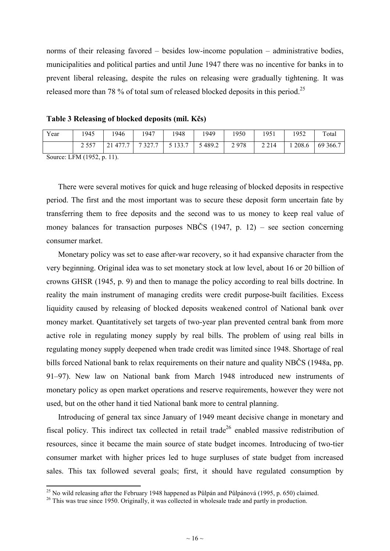norms of their releasing favored – besides low-income population – administrative bodies, municipalities and political parties and until June 1947 there was no incentive for banks in to prevent liberal releasing, despite the rules on releasing were gradually tightening. It was released more than 78 % of total sum of released blocked deposits in this period.<sup>25</sup>

**Table 3 Releasing of blocked deposits (mil. Kčs)** 

| Year                                         | 1945 | 1946                    | 1947   | 1948       | 1949   | 1950 | 1951    | 1952  | Total    |
|----------------------------------------------|------|-------------------------|--------|------------|--------|------|---------|-------|----------|
|                                              |      | . 477.7<br>$^{\circ}$ 1 | 7327.7 | 5 1 3 3 .7 | 5489.2 | 2978 | 2 2 1 4 | 208.6 | 69 366.7 |
| $C_{\text{out}}$ $\sim$ LEM (1052 $\sim$ 11) |      |                         |        |            |        |      |         |       |          |

Source: LFM (1952, p. 11).

-

There were several motives for quick and huge releasing of blocked deposits in respective period. The first and the most important was to secure these deposit form uncertain fate by transferring them to free deposits and the second was to us money to keep real value of money balances for transaction purposes NBČS (1947, p. 12) – see section concerning consumer market.

Monetary policy was set to ease after-war recovery, so it had expansive character from the very beginning. Original idea was to set monetary stock at low level, about 16 or 20 billion of crowns GHSR (1945, p. 9) and then to manage the policy according to real bills doctrine. In reality the main instrument of managing credits were credit purpose-built facilities. Excess liquidity caused by releasing of blocked deposits weakened control of National bank over money market. Quantitatively set targets of two-year plan prevented central bank from more active role in regulating money supply by real bills. The problem of using real bills in regulating money supply deepened when trade credit was limited since 1948. Shortage of real bills forced National bank to relax requirements on their nature and quality NBČS (1948a, pp. 91–97). New law on National bank from March 1948 introduced new instruments of monetary policy as open market operations and reserve requirements, however they were not used, but on the other hand it tied National bank more to central planning.

Introducing of general tax since January of 1949 meant decisive change in monetary and fiscal policy. This indirect tax collected in retail trade<sup>26</sup> enabled massive redistribution of resources, since it became the main source of state budget incomes. Introducing of two-tier consumer market with higher prices led to huge surpluses of state budget from increased sales. This tax followed several goals; first, it should have regulated consumption by

<sup>&</sup>lt;sup>25</sup> No wild releasing after the February 1948 happened as Půlpán and Půlpánová (1995, p. 650) claimed.

<sup>&</sup>lt;sup>26</sup> This was true since 1950. Originally, it was collected in wholesale trade and partly in production.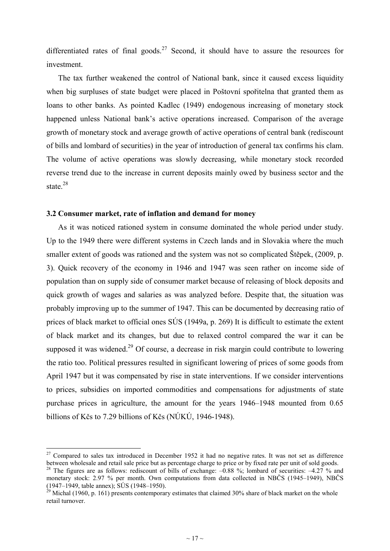differentiated rates of final goods.<sup>27</sup> Second, it should have to assure the resources for investment.

The tax further weakened the control of National bank, since it caused excess liquidity when big surpluses of state budget were placed in Poštovní spořitelna that granted them as loans to other banks. As pointed Kadlec (1949) endogenous increasing of monetary stock happened unless National bank's active operations increased. Comparison of the average growth of monetary stock and average growth of active operations of central bank (rediscount of bills and lombard of securities) in the year of introduction of general tax confirms his clam. The volume of active operations was slowly decreasing, while monetary stock recorded reverse trend due to the increase in current deposits mainly owed by business sector and the state. $^{28}$ 

# **3.2 Consumer market, rate of inflation and demand for money**

As it was noticed rationed system in consume dominated the whole period under study. Up to the 1949 there were different systems in Czech lands and in Slovakia where the much smaller extent of goods was rationed and the system was not so complicated Štěpek, (2009, p. 3). Quick recovery of the economy in 1946 and 1947 was seen rather on income side of population than on supply side of consumer market because of releasing of block deposits and quick growth of wages and salaries as was analyzed before. Despite that, the situation was probably improving up to the summer of 1947. This can be documented by decreasing ratio of prices of black market to official ones SÚS (1949a, p. 269) It is difficult to estimate the extent of black market and its changes, but due to relaxed control compared the war it can be supposed it was widened.<sup>29</sup> Of course, a decrease in risk margin could contribute to lowering the ratio too. Political pressures resulted in significant lowering of prices of some goods from April 1947 but it was compensated by rise in state interventions. If we consider interventions to prices, subsidies on imported commodities and compensations for adjustments of state purchase prices in agriculture, the amount for the years 1946–1948 mounted from 0.65 billions of Kčs to 7.29 billions of Kčs (NÚKÚ, 1946-1948).

 $\overline{\phantom{a}}$ 

 $27$  Compared to sales tax introduced in December 1952 it had no negative rates. It was not set as difference between wholesale and retail sale price but as percentage charge to price or by fixed rate per unit of sold goods.

<sup>&</sup>lt;sup>28</sup> The figures are as follows: rediscount of bills of exchange:  $-0.88$  %; lombard of securities:  $-4.27$  % and monetary stock: 2.97 % per month. Own computations from data collected in NBČS (1945–1949), NBČS (1947–1949, table annex); SÚS (1948–1950).

<sup>&</sup>lt;sup>29</sup> Michal (1960, p. 161) presents contemporary estimates that claimed 30% share of black market on the whole retail turnover.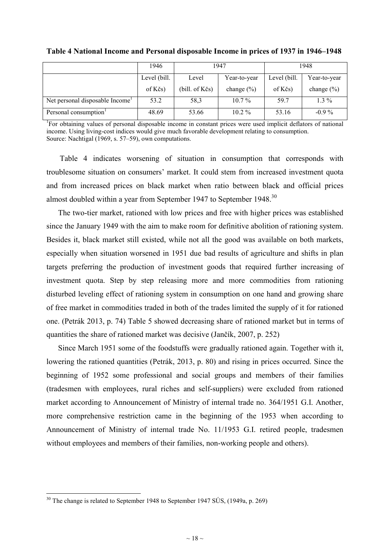|                                             | 1946         | 1947                  |                | 1948             |                |
|---------------------------------------------|--------------|-----------------------|----------------|------------------|----------------|
|                                             | Level (bill. | Year-to-year<br>Level |                | Level (bill.     | Year-to-year   |
|                                             | of Kčs)      | (bill. of Kčs)        | change $(\% )$ | of $K\check{c}s$ | change $(\% )$ |
| Net personal disposable Income <sup>1</sup> | 53.2         | 58,3                  | $10.7\%$       | 59.7             | $1.3\%$        |
| Personal consumption <sup>1</sup>           | 48.69        | 53.66                 | $10.2\%$       | 53.16            | $-0.9\%$       |

**Table 4 National Income and Personal disposable Income in prices of 1937 in 1946–1948** 

<sup>1</sup>For obtaining values of personal disposable income in constant prices were used implicit deflators of national income. Using living-cost indices would give much favorable development relating to consumption. Source: Nachtigal (1969, s. 57–59), own computations.

Table 4 indicates worsening of situation in consumption that corresponds with troublesome situation on consumers' market. It could stem from increased investment quota and from increased prices on black market when ratio between black and official prices almost doubled within a year from September 1947 to September 1948.<sup>30</sup>

The two-tier market, rationed with low prices and free with higher prices was established since the January 1949 with the aim to make room for definitive abolition of rationing system. Besides it, black market still existed, while not all the good was available on both markets, especially when situation worsened in 1951 due bad results of agriculture and shifts in plan targets preferring the production of investment goods that required further increasing of investment quota. Step by step releasing more and more commodities from rationing disturbed leveling effect of rationing system in consumption on one hand and growing share of free market in commodities traded in both of the trades limited the supply of it for rationed one. (Petrák 2013, p. 74) Table 5 showed decreasing share of rationed market but in terms of quantities the share of rationed market was decisive (Jančík, 2007, p. 252)

Since March 1951 some of the foodstuffs were gradually rationed again. Together with it, lowering the rationed quantities (Petrák, 2013, p. 80) and rising in prices occurred. Since the beginning of 1952 some professional and social groups and members of their families (tradesmen with employees, rural riches and self-suppliers) were excluded from rationed market according to Announcement of Ministry of internal trade no. 364/1951 G.I. Another, more comprehensive restriction came in the beginning of the 1953 when according to Announcement of Ministry of internal trade No. 11/1953 G.I. retired people, tradesmen without employees and members of their families, non-working people and others).

 $30$  The change is related to September 1948 to September 1947 SÚS, (1949a, p. 269)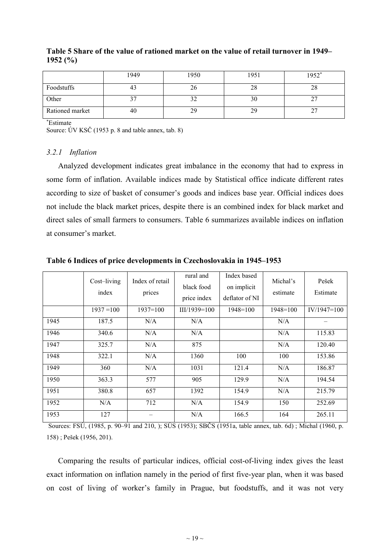|                 | 1949 | 1950 | 1951 | 1952* |
|-----------------|------|------|------|-------|
| Foodstuffs      | 41   | 20   | 28   | 28    |
| Other           |      | ے ر  | 30   | ∼     |
| Rationed market | 40   | 29   | 29   |       |

# **Table 5 Share of the value of rationed market on the value of retail turnover in 1949– 1952 (%)**

<sup>∗</sup>Estimate

Source: ÚV KSČ (1953 p. 8 and table annex, tab. 8)

# *3.2.1 Inflation*

Analyzed development indicates great imbalance in the economy that had to express in some form of inflation. Available indices made by Statistical office indicate different rates according to size of basket of consumer's goods and indices base year. Official indices does not include the black market prices, despite there is an combined index for black market and direct sales of small farmers to consumers. Table 6 summarizes available indices on inflation at consumer's market.

|      | Cost-living<br>index | Index of retail<br>prices | rural and<br>black food<br>price index | Index based<br>on implicit<br>deflator of NI | Michal's<br>estimate | Pešek<br>Estimate |
|------|----------------------|---------------------------|----------------------------------------|----------------------------------------------|----------------------|-------------------|
|      | $1937 = 100$         | $1937=100$                | $III/1939=100$                         | $1948 = 100$                                 | $1948 = 100$         | $IV/1947=100$     |
| 1945 | 187.5                | N/A                       | N/A                                    |                                              | N/A                  |                   |
| 1946 | 340.6                | N/A                       | N/A                                    |                                              | N/A                  | 115.83            |
| 1947 | 325.7                | N/A                       | 875                                    |                                              | N/A                  | 120.40            |
| 1948 | 322.1                | N/A                       | 1360                                   | 100                                          | 100                  | 153.86            |
| 1949 | 360                  | N/A                       | 1031                                   | 121.4                                        | N/A                  | 186.87            |
| 1950 | 363.3                | 577                       | 905                                    | 129.9                                        | N/A                  | 194.54            |
| 1951 | 380.8                | 657                       | 1392                                   | 154.9                                        | N/A                  | 215.79            |
| 1952 | N/A                  | 712                       | N/A                                    | 154.9                                        | 150                  | 252.69            |
| 1953 | 127                  |                           | N/A                                    | 166.5                                        | 164                  | 265.11            |

# **Table 6 Indices of price developments in Czechoslovakia in 1945–1953**

Sources: FSÚ, (1985, p. 90–91 and 210, ); SÚS (1953); SBČS (1951a, table annex, tab. 6d) ; Michal (1960, p. 158) ; Pešek (1956, 201).

Comparing the results of particular indices, official cost-of-living index gives the least exact information on inflation namely in the period of first five-year plan, when it was based on cost of living of worker's family in Prague, but foodstuffs, and it was not very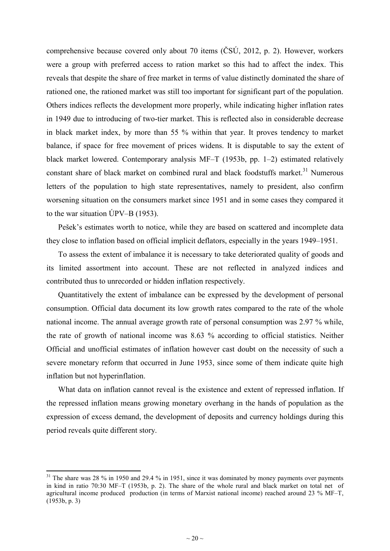comprehensive because covered only about 70 items (ČSÚ, 2012, p. 2). However, workers were a group with preferred access to ration market so this had to affect the index. This reveals that despite the share of free market in terms of value distinctly dominated the share of rationed one, the rationed market was still too important for significant part of the population. Others indices reflects the development more properly, while indicating higher inflation rates in 1949 due to introducing of two-tier market. This is reflected also in considerable decrease in black market index, by more than 55 % within that year. It proves tendency to market balance, if space for free movement of prices widens. It is disputable to say the extent of black market lowered. Contemporary analysis MF–T (1953b, pp. 1–2) estimated relatively constant share of black market on combined rural and black foodstuffs market.<sup>31</sup> Numerous letters of the population to high state representatives, namely to president, also confirm worsening situation on the consumers market since 1951 and in some cases they compared it to the war situation ÚPV–B (1953).

Pešek's estimates worth to notice, while they are based on scattered and incomplete data they close to inflation based on official implicit deflators, especially in the years 1949–1951.

To assess the extent of imbalance it is necessary to take deteriorated quality of goods and its limited assortment into account. These are not reflected in analyzed indices and contributed thus to unrecorded or hidden inflation respectively.

Quantitatively the extent of imbalance can be expressed by the development of personal consumption. Official data document its low growth rates compared to the rate of the whole national income. The annual average growth rate of personal consumption was 2.97 % while, the rate of growth of national income was 8.63 % according to official statistics. Neither Official and unofficial estimates of inflation however cast doubt on the necessity of such a severe monetary reform that occurred in June 1953, since some of them indicate quite high inflation but not hyperinflation.

What data on inflation cannot reveal is the existence and extent of repressed inflation. If the repressed inflation means growing monetary overhang in the hands of population as the expression of excess demand, the development of deposits and currency holdings during this period reveals quite different story.

 $31$  The share was 28 % in 1950 and 29.4 % in 1951, since it was dominated by money payments over payments in kind in ratio 70:30 MF–T (1953b, p. 2). The share of the whole rural and black market on total net of agricultural income produced production (in terms of Marxist national income) reached around 23 % MF–T, (1953b, p. 3)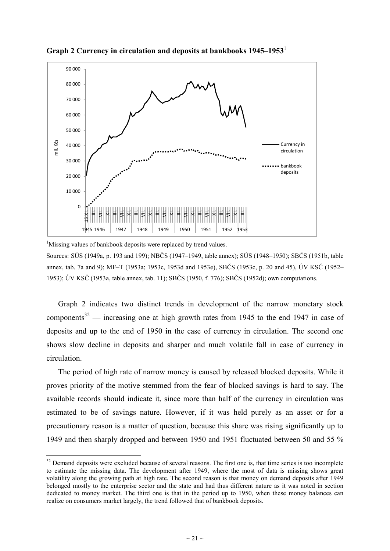

**Graph 2 Currency in circulation and deposits at bankbooks 1945–1953**<sup>1</sup>

<sup>1</sup>Missing values of bankbook deposits were replaced by trend values. Sources: SÚS (1949a, p. 193 and 199); NBČS (1947–1949, table annex); SÚS (1948–1950); SBČS (1951b, table annex, tab. 7a and 9); MF–T (1953a; 1953c, 1953d and 1953e), SBČS (1953c, p. 20 and 45), ÚV KSČ (1952– 1953); ÚV KSČ (1953a, table annex, tab. 11); SBČS (1950, f. 776); SBČS (1952d); own computations.

Graph 2 indicates two distinct trends in development of the narrow monetary stock components<sup>32</sup> — increasing one at high growth rates from 1945 to the end 1947 in case of deposits and up to the end of 1950 in the case of currency in circulation. The second one shows slow decline in deposits and sharper and much volatile fall in case of currency in circulation.

The period of high rate of narrow money is caused by released blocked deposits. While it proves priority of the motive stemmed from the fear of blocked savings is hard to say. The available records should indicate it, since more than half of the currency in circulation was estimated to be of savings nature. However, if it was held purely as an asset or for a precautionary reason is a matter of question, because this share was rising significantly up to 1949 and then sharply dropped and between 1950 and 1951 fluctuated between 50 and 55 %

<u>.</u>

<sup>&</sup>lt;sup>32</sup> Demand deposits were excluded because of several reasons. The first one is, that time series is too incomplete to estimate the missing data. The development after 1949, where the most of data is missing shows great volatility along the growing path at high rate. The second reason is that money on demand deposits after 1949 belonged mostly to the enterprise sector and the state and had thus different nature as it was noted in section dedicated to money market. The third one is that in the period up to 1950, when these money balances can realize on consumers market largely, the trend followed that of bankbook deposits.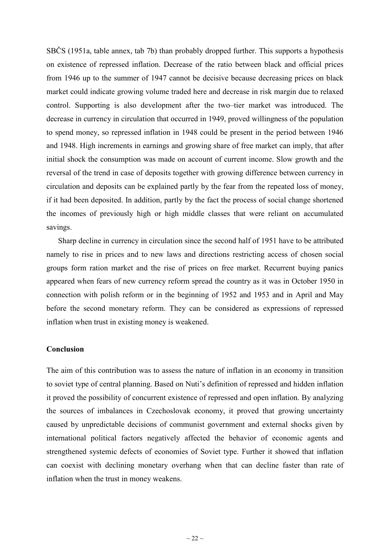SBČS (1951a, table annex, tab 7b) than probably dropped further. This supports a hypothesis on existence of repressed inflation. Decrease of the ratio between black and official prices from 1946 up to the summer of 1947 cannot be decisive because decreasing prices on black market could indicate growing volume traded here and decrease in risk margin due to relaxed control. Supporting is also development after the two–tier market was introduced. The decrease in currency in circulation that occurred in 1949, proved willingness of the population to spend money, so repressed inflation in 1948 could be present in the period between 1946 and 1948. High increments in earnings and growing share of free market can imply, that after initial shock the consumption was made on account of current income. Slow growth and the reversal of the trend in case of deposits together with growing difference between currency in circulation and deposits can be explained partly by the fear from the repeated loss of money, if it had been deposited. In addition, partly by the fact the process of social change shortened the incomes of previously high or high middle classes that were reliant on accumulated savings.

Sharp decline in currency in circulation since the second half of 1951 have to be attributed namely to rise in prices and to new laws and directions restricting access of chosen social groups form ration market and the rise of prices on free market. Recurrent buying panics appeared when fears of new currency reform spread the country as it was in October 1950 in connection with polish reform or in the beginning of 1952 and 1953 and in April and May before the second monetary reform. They can be considered as expressions of repressed inflation when trust in existing money is weakened.

# **Conclusion**

The aim of this contribution was to assess the nature of inflation in an economy in transition to soviet type of central planning. Based on Nuti's definition of repressed and hidden inflation it proved the possibility of concurrent existence of repressed and open inflation. By analyzing the sources of imbalances in Czechoslovak economy, it proved that growing uncertainty caused by unpredictable decisions of communist government and external shocks given by international political factors negatively affected the behavior of economic agents and strengthened systemic defects of economies of Soviet type. Further it showed that inflation can coexist with declining monetary overhang when that can decline faster than rate of inflation when the trust in money weakens.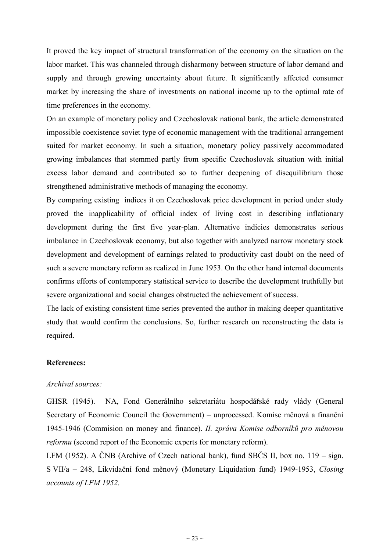It proved the key impact of structural transformation of the economy on the situation on the labor market. This was channeled through disharmony between structure of labor demand and supply and through growing uncertainty about future. It significantly affected consumer market by increasing the share of investments on national income up to the optimal rate of time preferences in the economy.

On an example of monetary policy and Czechoslovak national bank, the article demonstrated impossible coexistence soviet type of economic management with the traditional arrangement suited for market economy. In such a situation, monetary policy passively accommodated growing imbalances that stemmed partly from specific Czechoslovak situation with initial excess labor demand and contributed so to further deepening of disequilibrium those strengthened administrative methods of managing the economy.

By comparing existing indices it on Czechoslovak price development in period under study proved the inapplicability of official index of living cost in describing inflationary development during the first five year-plan. Alternative indicies demonstrates serious imbalance in Czechoslovak economy, but also together with analyzed narrow monetary stock development and development of earnings related to productivity cast doubt on the need of such a severe monetary reform as realized in June 1953. On the other hand internal documents confirms efforts of contemporary statistical service to describe the development truthfully but severe organizational and social changes obstructed the achievement of success.

The lack of existing consistent time series prevented the author in making deeper quantitative study that would confirm the conclusions. So, further research on reconstructing the data is required.

# **References:**

### *Archival sources:*

GHSR (1945). NA, Fond Generálního sekretariátu hospodářské rady vlády (General Secretary of Economic Council the Government) – unprocessed. Komise měnová a finanční 1945-1946 (Commision on money and finance). *II. zpráva Komise odborníků pro měnovou reformu* (second report of the Economic experts for monetary reform).

LFM (1952). A ČNB (Archive of Czech national bank), fund SBČS II, box no. 119 – sign. S VII/a – 248, Likvidační fond měnový (Monetary Liquidation fund) 1949-1953, *Closing accounts of LFM 1952*.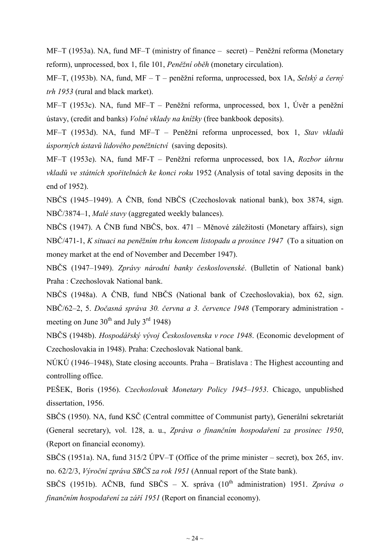MF–T (1953a). NA, fund MF–T (ministry of finance – secret) – Peněžní reforma (Monetary reform), unprocessed, box 1, file 101, *Peněžní oběh* (monetary circulation).

MF–T, (1953b). NA, fund, MF – T – peněžní reforma, unprocessed, box 1A, *Selský a černý trh 1953* (rural and black market).

MF–T (1953c). NA, fund MF–T – Peněžní reforma, unprocessed, box 1, Úvěr a peněžní ústavy, (credit and banks) *Volné vklady na knížky* (free bankbook deposits).

MF–T (1953d). NA, fund MF–T – Peněžní reforma unprocessed, box 1, *Stav vkladů úsporných ústavů lidového peněžnictví* (saving deposits).

MF–T (1953e). NA, fund MF-T – Peněžní reforma unprocessed, box 1A, *Rozbor úhrnu vkladů ve státních spořitelnách ke konci roku* 1952 (Analysis of total saving deposits in the end of 1952).

NBČS (1945–1949). A ČNB, fond NBČS (Czechoslovak national bank), box 3874, sign. NBČ/3874–1, *Malé stavy* (aggregated weekly balances).

NBČS (1947). A ČNB fund NBČS, box. 471 – Měnové záležitosti (Monetary affairs), sign NBČ/471-1, *K situaci na peněžním trhu koncem listopadu a prosince 1947* (To a situation on money market at the end of November and December 1947).

NBČS (1947–1949). *Zprávy národní banky československé*. (Bulletin of National bank) Praha : Czechoslovak National bank.

NBČS (1948a). A ČNB, fund NBČS (National bank of Czechoslovakia), box 62, sign. NBČ/62–2, 5. *Dočasná správa 30. června a 3. července 1948* (Temporary administration meeting on June  $30^{th}$  and July  $3^{rd}$  1948)

NBČS (1948b). *Hospodářský vývoj Československa v roce 1948*. (Economic development of Czechoslovakia in 1948). Praha: Czechoslovak National bank.

NÚKÚ (1946–1948), State closing accounts. Praha – Bratislava : The Highest accounting and controlling office.

PEŠEK, Boris (1956). *Czechoslovak Monetary Policy 1945–1953*. Chicago, unpublished dissertation, 1956.

SBČS (1950). NA, fund KSČ (Central committee of Communist party), Generální sekretariát (General secretary), vol. 128, a. u., *Zpráva o finančním hospodaření za prosinec 1950*, (Report on financial economy).

SBČS (1951a). NA, fund 315/2 ÚPV–T (Office of the prime minister – secret), box 265, inv. no. 62/2/3, *Výroční zpráva SBČS za rok 1951* (Annual report of the State bank).

SBČS (1951b). AČNB, fund SBČS – X. správa (10th administration) 1951. *Zpráva o finančním hospodaření za září 1951* (Report on financial economy).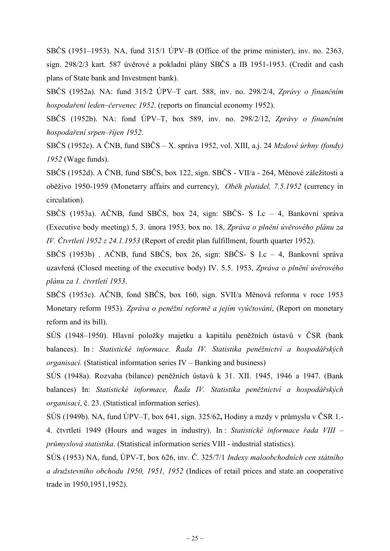SBČS (1951–1953). NA, fund 315/1 ÚPV–B (Office of the prime minister), inv. no. 2363, sign. 298/2/3 kart. 587 úvěrové a pokladní plány SBČS a IB 1951-1953. (Credit and cash plans of State bank and Investment bank).

SBČS (1952a). NA: fund 315/2 ÚPV–T cart. 588, inv. no. 298/2/4, *Zprávy o finančním hospodaření leden–červenec 1952*. (reports on financial economy 1952).

SBČS (1952b). NA: fond ÚPV–T, box 589, inv. no. 298/2/12, *Zprávy o finančním hospodaření srpen–říjen 1952*.

SBČS (1952c). A ČNB, fund SBČS – X. správa 1952, vol. XIII, a.j. 24 *Mzdové úrhny (fondy) 1952* (Wage funds).

SBČS (1952d). A ČNB, fund SBČS, box 122, sign. SBČS - VII/a - 264, Měnové záležitosti a oběživo 1950-1959 (Monetarry affairs and currency), *Oběh platidel, 7.5.1952* (currency in circulation).

SBČS (1953a). AČNB, fund SBČS, box 24, sign: SBČS- S I.c – 4, Bankovní správa (Executive body meeting) 5, 3. února 1953, box no. 18, *Zpráva o plnění úvěrového plánu za IV. Čtvrtletí 1952 z 24.1.1953* (Report of credit plan fulfillment, fourth quarter 1952).

SBČS (1953b) . AČNB, fund SBČS, box 26, sign: SBČS- S I.c – 4, Bankovní správa uzavřená (Closed meeting of the executive body) IV. 5.5. 1953, *Zpráva o plnění úvěrového plánu za 1. čtvrtletí 1953*.

SBČS (1953c). AČNB, fond SBČS, box 160, sign. SVII/a Měnová reforma v roce 1953 Monetary reform 1953). *Zpráva o peněžní reformě a jejím vyúčtování*, (Report on monetary reform and its bill).

SÚS (1948–1950). Hlavní položky majetku a kapitálu peněžních ústavů v ČSR (bank balances). In : *Statistické informace. Řada IV. Statistika peněžnictví a hospodářských organisací.* (Statistical information series IV – Banking and business)

SÚS (1948a). Rozvaha (bilance) peněžních ústavů k 31. XII. 1945, 1946 a 1947. (Bank balances) In: *Statistické informace, Řada IV. Statistika peněžnictví a hospodářských organisací*, č. 23. (Statistical information series).

SÚS (1949b). NA, fund ÚPV–T, box 641, sign. 325/62**,** Hodiny a mzdy v průmyslu v ČSR 1.- 4. čtvrtletí 1949 (Hours and wages in industry). In : *Statistické informace řada VIII – průmyslová statistika*. (Statistical information series VIII - industrial statistics).

SÚS (1953) NA, fund, ÚPV-T, box 626, inv. Č. 325/7/1 *Indexy maloobchodních cen státního a družstevního obchodu 1950, 1951, 1952* (Indices of retail prices and state an cooperative trade in 1950,1951,1952).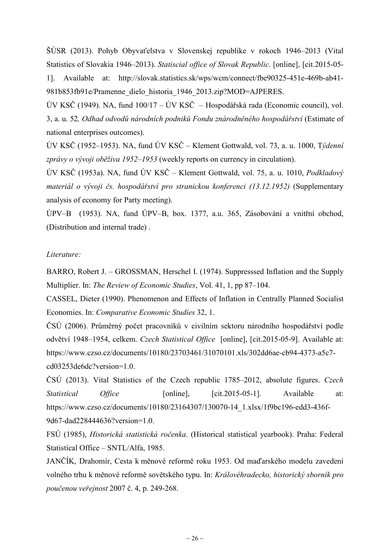ŠÚSR (2013). Pohyb Obyvaťelstva v Slovenskej republike v rokoch 1946–2013 (Vital Statistics of Slovakia 1946–2013). *Statiscial office of Slovak Republic*. [online], [cit.2015-05- 1]. Available at: http://slovak.statistics.sk/wps/wcm/connect/fbe90325-451e-469b-ab41- 981b853fb91e/Pramenne\_dielo\_historia\_1946\_2013.zip?MOD=AJPERES.

ÚV KSČ (1949). NA, fund 100/17 – ÚV KSČ – Hospodářská rada (Economic council), vol. 3, a. u. 52*, Odhad odvodů národních podniků Fondu znárodněného hospodářství* (Estimate of national enterprises outcomes).

ÚV KSČ (1952–1953). NA, fund ÚV KSČ – Klement Gottwald, vol. 73, a. u. 1000, T*ýdenní zprávy o vývoji oběživa 1952–1953* (weekly reports on currency in circulation).

ÚV KSČ (1953a). NA, fund ÚV KSČ – Klement Gottwald, vol. 75, a. u. 1010, *Podkladový materiál o vývoji čs. hospodářství pro stranickou konferenci (13.12.1952)* (Supplementary analysis of economy for Party meeting).

ÚPV–B (1953). NA, fund ÚPV–B, box. 1377, a.u. 365, Zásobování a vnitřní obchod, (Distribution and internal trade) .

# *Literature:*

BARRO, Robert J. – GROSSMAN, Herschel I. (1974). Suppresssed Inflation and the Supply Multiplier. In: *The Review of Economic Studies*, Vol. 41, 1, pp 87–104.

CASSEL, Dieter (1990). Phenomenon and Effects of Inflation in Centrally Planned Socialist Economies. In: *Comparative Economic Studies* 32, 1.

ČSÚ (2006). Průměrný počet pracovníků v civilním sektoru národního hospodářství podle odvětví 1948–1954, celkem. *Czech Statistical Office* [online], [cit.2015-05-9]. Available at: https://www.czso.cz/documents/10180/23703461/31070101.xls/302dd6ae-cb94-4373-a5c7 cd03253de6dc?version=1.0.

ČSÚ (2013). Vital Statistics of the Czech republic 1785–2012, absolute figures. *Czech Statistical Office* [online], [cit.2015-05-1]. Available at: https://www.czso.cz/documents/10180/23164307/130070-14\_1.xlsx/1f9bc196-edd3-436f-9d67-dad228444636?version=1.0.

FSÚ (1985), *Historická statistická ročenka*. (Historical statistical yearbook). Praha: Federal Statistical Office – SNTL/Alfa, 1985.

JANČÍK, Drahomír, Cesta k měnové reformě roku 1953. Od maďarského modelu zavedení volného trhu k měnové reformě sovětského typu. In: *Královéhradecko, historický sborník pro poučenou veřejnost* 2007 č. 4, p. 249-268.